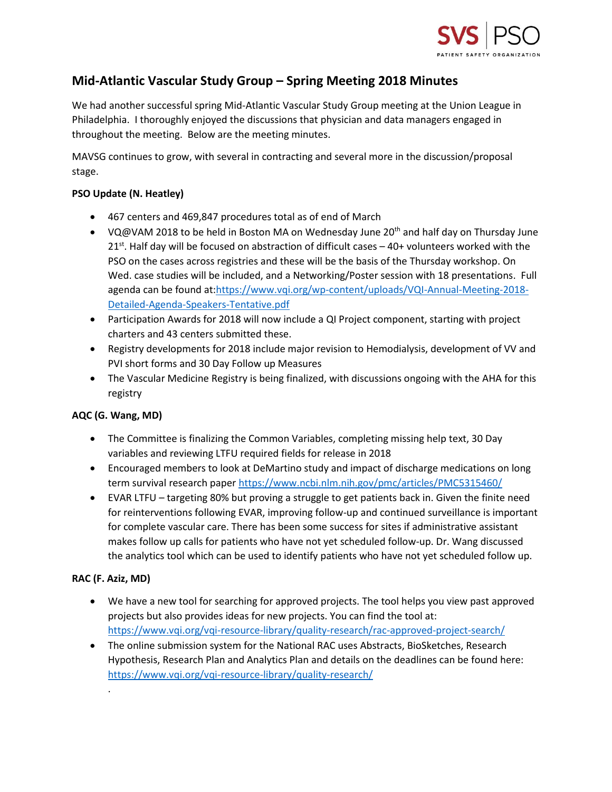

# **Mid-Atlantic Vascular Study Group – Spring Meeting 2018 Minutes**

We had another successful spring Mid-Atlantic Vascular Study Group meeting at the Union League in Philadelphia. I thoroughly enjoyed the discussions that physician and data managers engaged in throughout the meeting. Below are the meeting minutes.

MAVSG continues to grow, with several in contracting and several more in the discussion/proposal stage.

## **PSO Update (N. Heatley)**

- 467 centers and 469,847 procedures total as of end of March
- VQ@VAM 2018 to be held in Boston MA on Wednesday June 20<sup>th</sup> and half day on Thursday June  $21<sup>st</sup>$ . Half day will be focused on abstraction of difficult cases – 40+ volunteers worked with the PSO on the cases across registries and these will be the basis of the Thursday workshop. On Wed. case studies will be included, and a Networking/Poster session with 18 presentations. Full agenda can be found at[:https://www.vqi.org/wp-content/uploads/VQI-Annual-Meeting-2018-](https://www.vqi.org/wp-content/uploads/VQI-Annual-Meeting-2018-Detailed-Agenda-Speakers-Tentative.pdf) [Detailed-Agenda-Speakers-Tentative.pdf](https://www.vqi.org/wp-content/uploads/VQI-Annual-Meeting-2018-Detailed-Agenda-Speakers-Tentative.pdf)
- Participation Awards for 2018 will now include a QI Project component, starting with project charters and 43 centers submitted these.
- Registry developments for 2018 include major revision to Hemodialysis, development of VV and PVI short forms and 30 Day Follow up Measures
- The Vascular Medicine Registry is being finalized, with discussions ongoing with the AHA for this registry

# **AQC (G. Wang, MD)**

- The Committee is finalizing the Common Variables, completing missing help text, 30 Day variables and reviewing LTFU required fields for release in 2018
- Encouraged members to look at DeMartino study and impact of discharge medications on long term survival research paper <https://www.ncbi.nlm.nih.gov/pmc/articles/PMC5315460/>
- EVAR LTFU targeting 80% but proving a struggle to get patients back in. Given the finite need for reinterventions following EVAR, improving follow-up and continued surveillance is important for complete vascular care. There has been some success for sites if administrative assistant makes follow up calls for patients who have not yet scheduled follow-up. Dr. Wang discussed the analytics tool which can be used to identify patients who have not yet scheduled follow up.

# **RAC (F. Aziz, MD)**

.

- We have a new tool for searching for approved projects. The tool helps you view past approved projects but also provides ideas for new projects. You can find the tool at: <https://www.vqi.org/vqi-resource-library/quality-research/rac-approved-project-search/>
- The online submission system for the National RAC uses Abstracts, BioSketches, Research Hypothesis, Research Plan and Analytics Plan and details on the deadlines can be found here: <https://www.vqi.org/vqi-resource-library/quality-research/>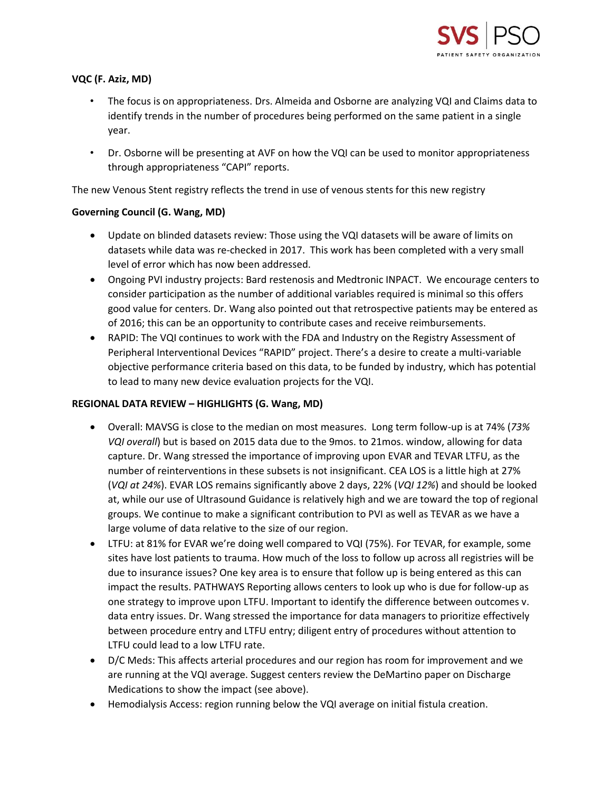

## **VQC (F. Aziz, MD)**

- The focus is on appropriateness. Drs. Almeida and Osborne are analyzing VQI and Claims data to identify trends in the number of procedures being performed on the same patient in a single year.
- Dr. Osborne will be presenting at AVF on how the VQI can be used to monitor appropriateness through appropriateness "CAPI" reports.

The new Venous Stent registry reflects the trend in use of venous stents for this new registry

### **Governing Council (G. Wang, MD)**

- Update on blinded datasets review: Those using the VQI datasets will be aware of limits on datasets while data was re-checked in 2017. This work has been completed with a very small level of error which has now been addressed.
- Ongoing PVI industry projects: Bard restenosis and Medtronic INPACT. We encourage centers to consider participation as the number of additional variables required is minimal so this offers good value for centers. Dr. Wang also pointed out that retrospective patients may be entered as of 2016; this can be an opportunity to contribute cases and receive reimbursements.
- RAPID: The VQI continues to work with the FDA and Industry on the Registry Assessment of Peripheral Interventional Devices "RAPID" project. There's a desire to create a multi-variable objective performance criteria based on this data, to be funded by industry, which has potential to lead to many new device evaluation projects for the VQI.

### **REGIONAL DATA REVIEW – HIGHLIGHTS (G. Wang, MD)**

- Overall: MAVSG is close to the median on most measures. Long term follow-up is at 74% (*73% VQI overall*) but is based on 2015 data due to the 9mos. to 21mos. window, allowing for data capture. Dr. Wang stressed the importance of improving upon EVAR and TEVAR LTFU, as the number of reinterventions in these subsets is not insignificant. CEA LOS is a little high at 27% (*VQI at 24%*). EVAR LOS remains significantly above 2 days, 22% (*VQI 12%*) and should be looked at, while our use of Ultrasound Guidance is relatively high and we are toward the top of regional groups. We continue to make a significant contribution to PVI as well as TEVAR as we have a large volume of data relative to the size of our region.
- LTFU: at 81% for EVAR we're doing well compared to VQI (75%). For TEVAR, for example, some sites have lost patients to trauma. How much of the loss to follow up across all registries will be due to insurance issues? One key area is to ensure that follow up is being entered as this can impact the results. PATHWAYS Reporting allows centers to look up who is due for follow-up as one strategy to improve upon LTFU. Important to identify the difference between outcomes v. data entry issues. Dr. Wang stressed the importance for data managers to prioritize effectively between procedure entry and LTFU entry; diligent entry of procedures without attention to LTFU could lead to a low LTFU rate.
- D/C Meds: This affects arterial procedures and our region has room for improvement and we are running at the VQI average. Suggest centers review the DeMartino paper on Discharge Medications to show the impact (see above).
- Hemodialysis Access: region running below the VQI average on initial fistula creation.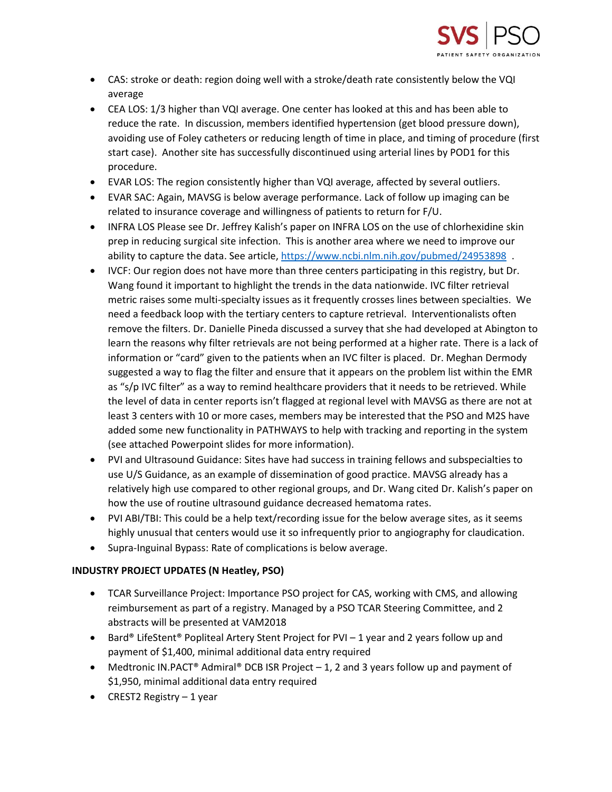

- CAS: stroke or death: region doing well with a stroke/death rate consistently below the VQI average
- CEA LOS: 1/3 higher than VQI average. One center has looked at this and has been able to reduce the rate. In discussion, members identified hypertension (get blood pressure down), avoiding use of Foley catheters or reducing length of time in place, and timing of procedure (first start case). Another site has successfully discontinued using arterial lines by POD1 for this procedure.
- EVAR LOS: The region consistently higher than VQI average, affected by several outliers.
- EVAR SAC: Again, MAVSG is below average performance. Lack of follow up imaging can be related to insurance coverage and willingness of patients to return for F/U.
- INFRA LOS Please see Dr. Jeffrey Kalish's paper on INFRA LOS on the use of chlorhexidine skin prep in reducing surgical site infection. This is another area where we need to improve our ability to capture the data. See article, <https://www.ncbi.nlm.nih.gov/pubmed/24953898>.
- IVCF: Our region does not have more than three centers participating in this registry, but Dr. Wang found it important to highlight the trends in the data nationwide. IVC filter retrieval metric raises some multi-specialty issues as it frequently crosses lines between specialties. We need a feedback loop with the tertiary centers to capture retrieval. Interventionalists often remove the filters. Dr. Danielle Pineda discussed a survey that she had developed at Abington to learn the reasons why filter retrievals are not being performed at a higher rate. There is a lack of information or "card" given to the patients when an IVC filter is placed. Dr. Meghan Dermody suggested a way to flag the filter and ensure that it appears on the problem list within the EMR as "s/p IVC filter" as a way to remind healthcare providers that it needs to be retrieved. While the level of data in center reports isn't flagged at regional level with MAVSG as there are not at least 3 centers with 10 or more cases, members may be interested that the PSO and M2S have added some new functionality in PATHWAYS to help with tracking and reporting in the system (see attached Powerpoint slides for more information).
- PVI and Ultrasound Guidance: Sites have had success in training fellows and subspecialties to use U/S Guidance, as an example of dissemination of good practice. MAVSG already has a relatively high use compared to other regional groups, and Dr. Wang cited Dr. Kalish's paper on how the use of routine ultrasound guidance decreased hematoma rates.
- PVI ABI/TBI: This could be a help text/recording issue for the below average sites, as it seems highly unusual that centers would use it so infrequently prior to angiography for claudication.
- Supra-Inguinal Bypass: Rate of complications is below average.

# **INDUSTRY PROJECT UPDATES (N Heatley, PSO)**

- TCAR Surveillance Project: Importance PSO project for CAS, working with CMS, and allowing reimbursement as part of a registry. Managed by a PSO TCAR Steering Committee, and 2 abstracts will be presented at VAM2018
- Bard® LifeStent® Popliteal Artery Stent Project for PVI 1 year and 2 years follow up and payment of \$1,400, minimal additional data entry required
- Medtronic IN.PACT<sup>®</sup> Admiral<sup>®</sup> DCB ISR Project  $-1$ , 2 and 3 years follow up and payment of \$1,950, minimal additional data entry required
- CREST2 Registry 1 year